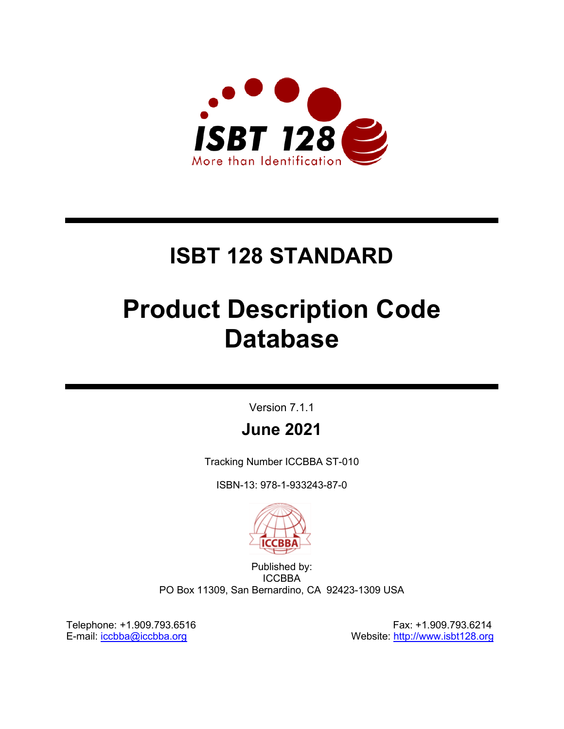

# **ISBT 128 STANDARD**

# **Product Description Code Database**

Version 7.1.1

# **June 2021**

Tracking Number ICCBBA ST-010

ISBN-13: 978-1-933243-87-0



Published by: **ICCBBA** PO Box 11309, San Bernardino, CA 92423-1309 USA

Telephone: +1.909.793.6516 Fax: +1.909.793.6214 E-mail: [iccbba@iccbba.org](mailto:iccbba@iccbba.org) Website: [http://www.isbt128.org](http://www.iccbba.org/)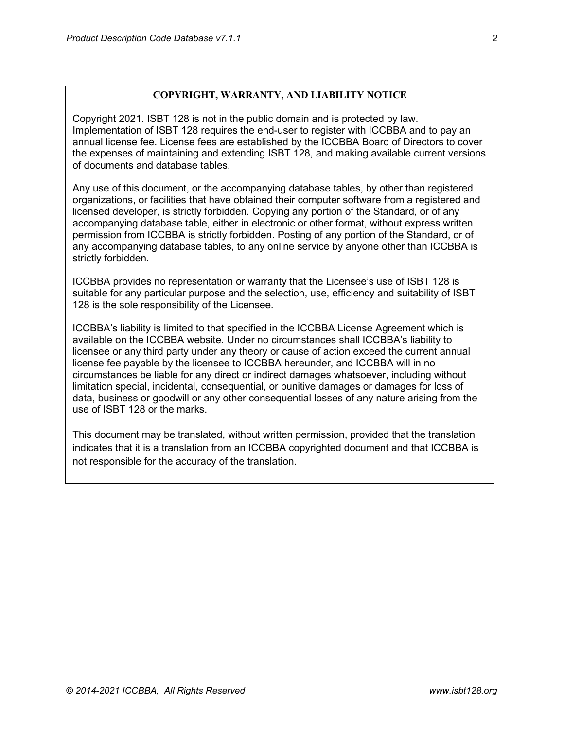#### **COPYRIGHT, WARRANTY, AND LIABILITY NOTICE**

Copyright 2021. ISBT 128 is not in the public domain and is protected by law. Implementation of ISBT 128 requires the end-user to register with ICCBBA and to pay an annual license fee. License fees are established by the ICCBBA Board of Directors to cover the expenses of maintaining and extending ISBT 128, and making available current versions of documents and database tables.

Any use of this document, or the accompanying database tables, by other than registered organizations, or facilities that have obtained their computer software from a registered and licensed developer, is strictly forbidden. Copying any portion of the Standard, or of any accompanying database table, either in electronic or other format, without express written permission from ICCBBA is strictly forbidden. Posting of any portion of the Standard, or of any accompanying database tables, to any online service by anyone other than ICCBBA is strictly forbidden.

ICCBBA provides no representation or warranty that the Licensee's use of ISBT 128 is suitable for any particular purpose and the selection, use, efficiency and suitability of ISBT 128 is the sole responsibility of the Licensee.

ICCBBA's liability is limited to that specified in the ICCBBA License Agreement which is available on the ICCBBA website. Under no circumstances shall ICCBBA's liability to licensee or any third party under any theory or cause of action exceed the current annual license fee payable by the licensee to ICCBBA hereunder, and ICCBBA will in no circumstances be liable for any direct or indirect damages whatsoever, including without limitation special, incidental, consequential, or punitive damages or damages for loss of data, business or goodwill or any other consequential losses of any nature arising from the use of ISBT 128 or the marks.

This document may be translated, without written permission, provided that the translation indicates that it is a translation from an ICCBBA copyrighted document and that ICCBBA is not responsible for the accuracy of the translation.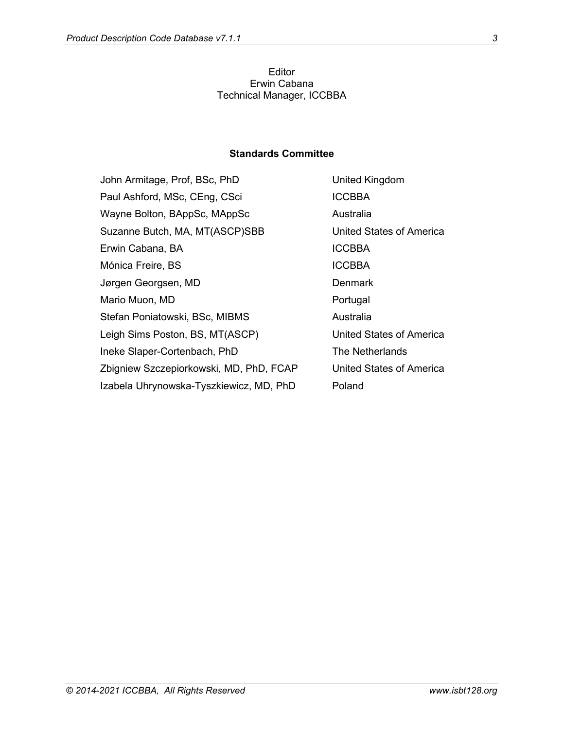#### Editor Erwin Cabana Technical Manager, ICCBBA

#### **Standards Committee**

| John Armitage, Prof, BSc, PhD           | United Kingdom                  |
|-----------------------------------------|---------------------------------|
| Paul Ashford, MSc, CEng, CSci           | <b>ICCBBA</b>                   |
| Wayne Bolton, BAppSc, MAppSc            | Australia                       |
| Suzanne Butch, MA, MT(ASCP)SBB          | United States of America        |
| Erwin Cabana, BA                        | <b>ICCBBA</b>                   |
| Mónica Freire, BS                       | <b>ICCBBA</b>                   |
| Jørgen Georgsen, MD                     | <b>Denmark</b>                  |
| Mario Muon, MD                          | Portugal                        |
| Stefan Poniatowski, BSc, MIBMS          | Australia                       |
| Leigh Sims Poston, BS, MT(ASCP)         | <b>United States of America</b> |
| Ineke Slaper-Cortenbach, PhD            | The Netherlands                 |
| Zbigniew Szczepiorkowski, MD, PhD, FCAP | United States of America        |
| Izabela Uhrynowska-Tyszkiewicz, MD, PhD | Poland                          |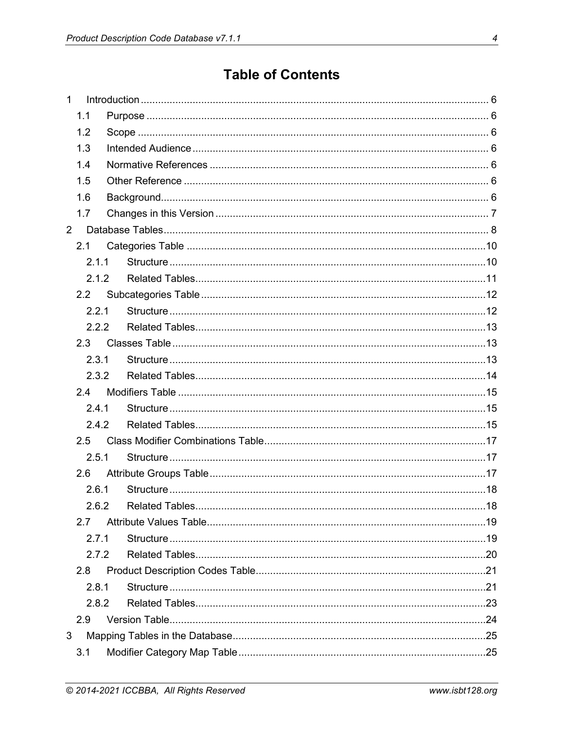# **Table of Contents**

| $\mathbf{1}$ |       |  |  |
|--------------|-------|--|--|
|              | 1.1   |  |  |
|              | 1.2   |  |  |
|              | 1.3   |  |  |
|              | 1.4   |  |  |
|              | 1.5   |  |  |
|              | 1.6   |  |  |
|              | 1.7   |  |  |
| $2^{\circ}$  |       |  |  |
|              | 2.1   |  |  |
|              | 2.1.1 |  |  |
|              | 2.1.2 |  |  |
|              | 2.2   |  |  |
|              | 2.2.1 |  |  |
|              | 2.2.2 |  |  |
|              | 2.3   |  |  |
|              | 2.3.1 |  |  |
|              | 2.3.2 |  |  |
|              | 2.4   |  |  |
|              | 2.4.1 |  |  |
|              | 2.4.2 |  |  |
|              | 2.5   |  |  |
|              | 2.5.1 |  |  |
|              | 2.6   |  |  |
|              | 2.6.1 |  |  |
|              |       |  |  |
|              | 2.7   |  |  |
|              | 2.7.1 |  |  |
|              | 2.7.2 |  |  |
|              | 2.8   |  |  |
|              | 2.8.1 |  |  |
|              | 2.8.2 |  |  |
|              | 2.9   |  |  |
| 3            |       |  |  |
|              | 3.1   |  |  |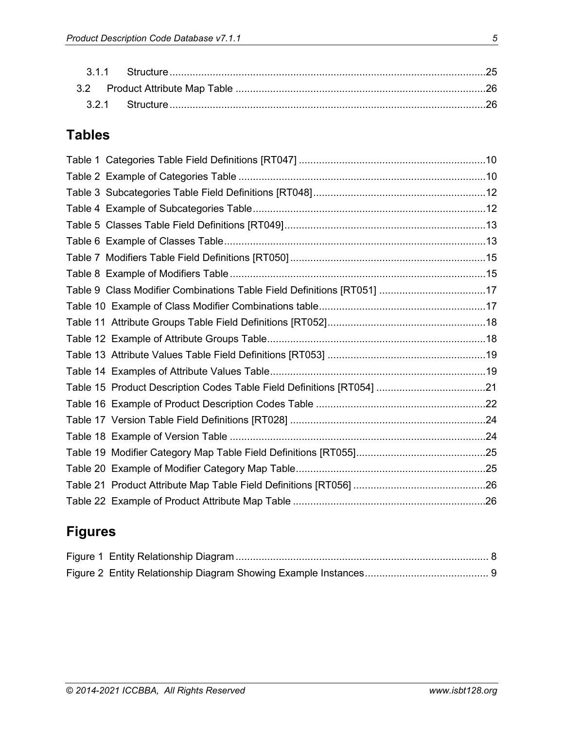# **Tables**

| Table 9 Class Modifier Combinations Table Field Definitions [RT051] 17 |  |
|------------------------------------------------------------------------|--|
|                                                                        |  |
|                                                                        |  |
|                                                                        |  |
|                                                                        |  |
|                                                                        |  |
|                                                                        |  |
|                                                                        |  |
|                                                                        |  |
|                                                                        |  |
|                                                                        |  |
|                                                                        |  |
|                                                                        |  |
|                                                                        |  |
|                                                                        |  |

# **Figures**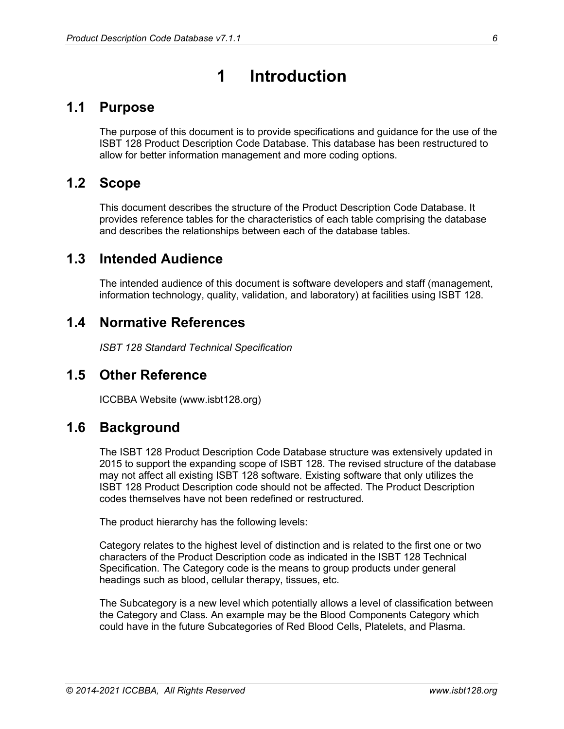# **1 Introduction**

# <span id="page-5-1"></span><span id="page-5-0"></span>**1.1 Purpose**

The purpose of this document is to provide specifications and guidance for the use of the ISBT 128 Product Description Code Database. This database has been restructured to allow for better information management and more coding options.

# <span id="page-5-2"></span>**1.2 Scope**

This document describes the structure of the Product Description Code Database. It provides reference tables for the characteristics of each table comprising the database and describes the relationships between each of the database tables.

# <span id="page-5-3"></span>**1.3 Intended Audience**

The intended audience of this document is software developers and staff (management, information technology, quality, validation, and laboratory) at facilities using ISBT 128.

# <span id="page-5-4"></span>**1.4 Normative References**

*ISBT 128 Standard Technical Specification*

### <span id="page-5-5"></span>**1.5 Other Reference**

ICCBBA Website (www.isbt128.org)

### <span id="page-5-6"></span>**1.6 Background**

The ISBT 128 Product Description Code Database structure was extensively updated in 2015 to support the expanding scope of ISBT 128. The revised structure of the database may not affect all existing ISBT 128 software. Existing software that only utilizes the ISBT 128 Product Description code should not be affected. The Product Description codes themselves have not been redefined or restructured.

The product hierarchy has the following levels:

Category relates to the highest level of distinction and is related to the first one or two characters of the Product Description code as indicated in the ISBT 128 Technical Specification. The Category code is the means to group products under general headings such as blood, cellular therapy, tissues, etc.

The Subcategory is a new level which potentially allows a level of classification between the Category and Class. An example may be the Blood Components Category which could have in the future Subcategories of Red Blood Cells, Platelets, and Plasma.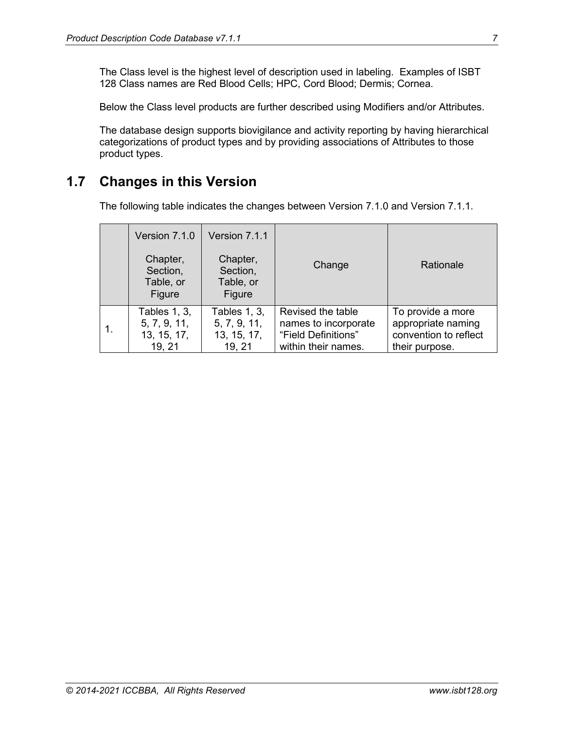The Class level is the highest level of description used in labeling. Examples of ISBT 128 Class names are Red Blood Cells; HPC, Cord Blood; Dermis; Cornea.

Below the Class level products are further described using Modifiers and/or Attributes.

The database design supports biovigilance and activity reporting by having hierarchical categorizations of product types and by providing associations of Attributes to those product types.

# <span id="page-6-0"></span>**1.7 Changes in this Version**

The following table indicates the changes between Version 7.1.0 and Version 7.1.1.

| Version 7.1.0<br>Chapter,<br>Section,<br>Table, or<br>Figure | Version 7.1.1<br>Chapter,<br>Section,<br>Table, or<br>Figure | Change               | Rationale             |
|--------------------------------------------------------------|--------------------------------------------------------------|----------------------|-----------------------|
| <b>Tables 1, 3,</b>                                          | <b>Tables 1, 3,</b>                                          | Revised the table    | To provide a more     |
| 5, 7, 9, 11,                                                 | 5, 7, 9, 11,                                                 | names to incorporate | appropriate naming    |
| 13, 15, 17,                                                  | 13, 15, 17,                                                  | "Field Definitions"  | convention to reflect |
| 19, 21                                                       | 19, 21                                                       | within their names.  | their purpose.        |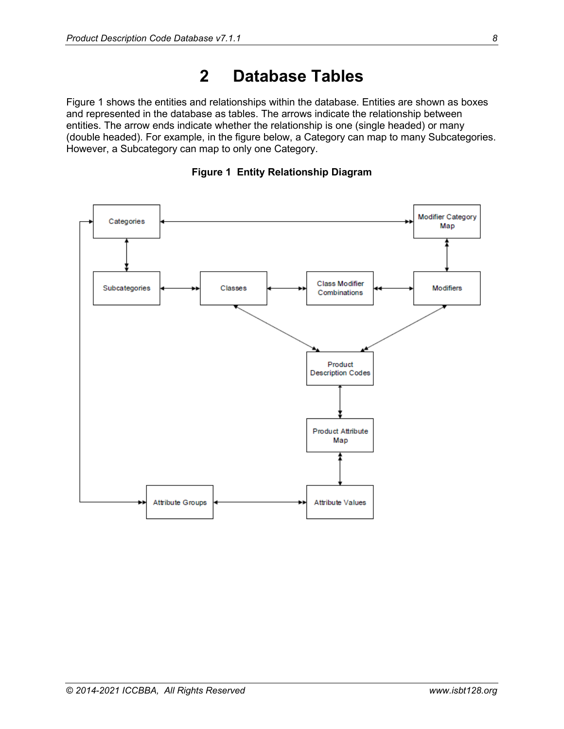# **2 Database Tables**

<span id="page-7-0"></span>[Figure 1](#page-7-1) shows the entities and relationships within the database. Entities are shown as boxes and represented in the database as tables. The arrows indicate the relationship between entities. The arrow ends indicate whether the relationship is one (single headed) or many (double headed). For example, in the figure below, a Category can map to many Subcategories. However, a Subcategory can map to only one Category.

<span id="page-7-1"></span>

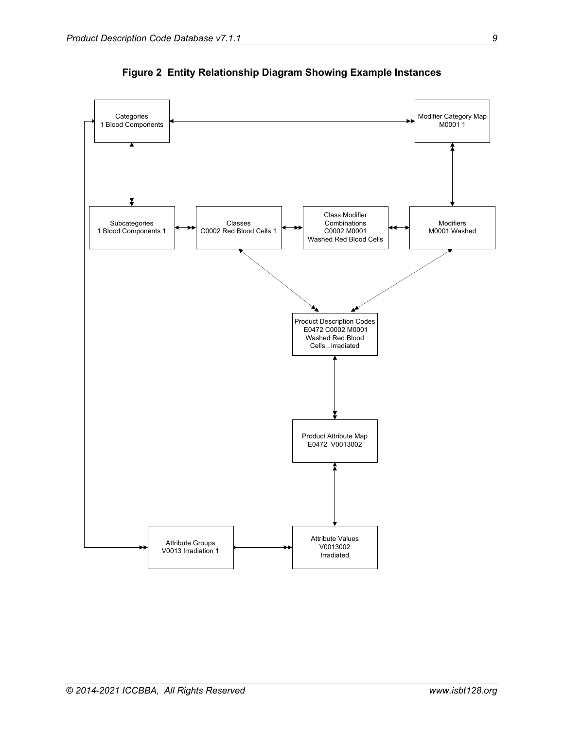<span id="page-8-0"></span>

**Figure 2 Entity Relationship Diagram Showing Example Instances**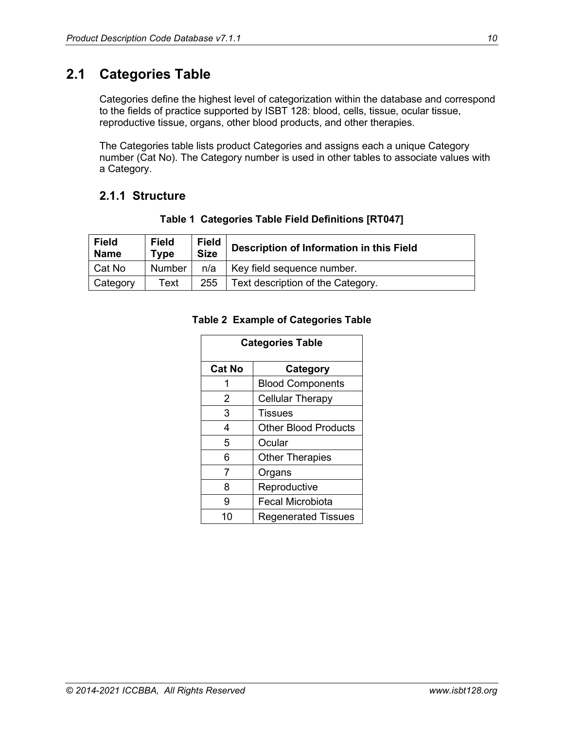# <span id="page-9-0"></span>**2.1 Categories Table**

Categories define the highest level of categorization within the database and correspond to the fields of practice supported by ISBT 128: blood, cells, tissue, ocular tissue, reproductive tissue, organs, other blood products, and other therapies.

The Categories table lists product Categories and assigns each a unique Category number (Cat No). The Category number is used in other tables to associate values with a Category.

### <span id="page-9-1"></span>**2.1.1 Structure**

<span id="page-9-3"></span><span id="page-9-2"></span>

| <b>Field</b><br><b>Name</b> | <b>Field</b><br><b>Type</b> | <b>Field</b><br><b>Size</b> | Description of Information in this Field |
|-----------------------------|-----------------------------|-----------------------------|------------------------------------------|
| Cat No                      | Number                      | n/a                         | Key field sequence number.               |
| Category                    | Text                        | 255                         | Text description of the Category.        |

#### **Table 1 Categories Table Field Definitions [RT047]**

#### **Table 2 Example of Categories Table**

| <b>Categories Table</b> |                             |  |
|-------------------------|-----------------------------|--|
| <b>Cat No</b>           | <b>Category</b>             |  |
| 1                       | <b>Blood Components</b>     |  |
| 2                       | <b>Cellular Therapy</b>     |  |
| 3                       | <b>Tissues</b>              |  |
| 4                       | <b>Other Blood Products</b> |  |
| 5                       | Ocular                      |  |
| 6                       | <b>Other Therapies</b>      |  |
| 7                       | Organs                      |  |
| 8                       | Reproductive                |  |
| 9                       | <b>Fecal Microbiota</b>     |  |
| 10                      | <b>Regenerated Tissues</b>  |  |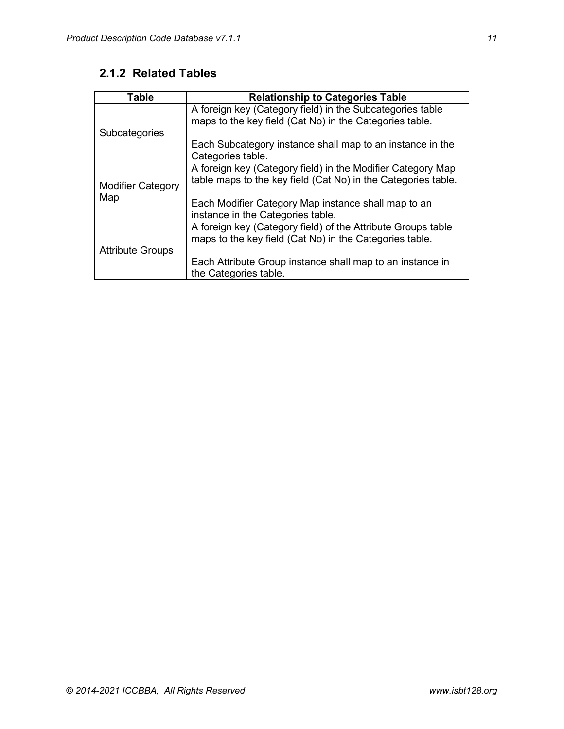# <span id="page-10-0"></span>**2.1.2 Related Tables**

| <b>Table</b>             | <b>Relationship to Categories Table</b>                       |
|--------------------------|---------------------------------------------------------------|
|                          | A foreign key (Category field) in the Subcategories table     |
|                          | maps to the key field (Cat No) in the Categories table.       |
| Subcategories            |                                                               |
|                          | Each Subcategory instance shall map to an instance in the     |
|                          | Categories table.                                             |
|                          | A foreign key (Category field) in the Modifier Category Map   |
| <b>Modifier Category</b> | table maps to the key field (Cat No) in the Categories table. |
| Map                      |                                                               |
|                          | Each Modifier Category Map instance shall map to an           |
|                          | instance in the Categories table.                             |
|                          | A foreign key (Category field) of the Attribute Groups table  |
|                          | maps to the key field (Cat No) in the Categories table.       |
| <b>Attribute Groups</b>  |                                                               |
|                          | Each Attribute Group instance shall map to an instance in     |
|                          | the Categories table.                                         |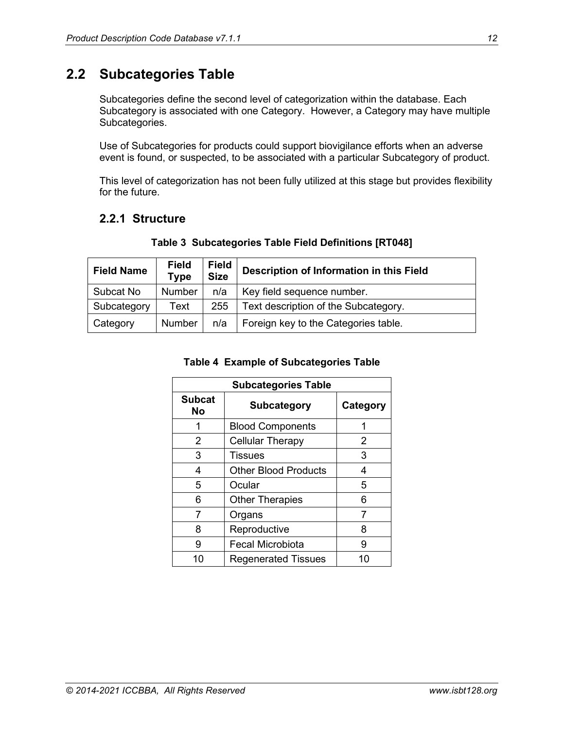# <span id="page-11-0"></span>**2.2 Subcategories Table**

Subcategories define the second level of categorization within the database. Each Subcategory is associated with one Category. However, a Category may have multiple Subcategories.

Use of Subcategories for products could support biovigilance efforts when an adverse event is found, or suspected, to be associated with a particular Subcategory of product.

This level of categorization has not been fully utilized at this stage but provides flexibility for the future.

### <span id="page-11-1"></span>**2.2.1 Structure**

<span id="page-11-3"></span><span id="page-11-2"></span>

| <b>Field Name</b> | <b>Field</b><br><b>Type</b> | <b>Field</b><br><b>Size</b> | Description of Information in this Field |  |
|-------------------|-----------------------------|-----------------------------|------------------------------------------|--|
| Subcat No         | <b>Number</b>               | n/a                         | Key field sequence number.               |  |
| Subcategory       | Text                        | 255                         | Text description of the Subcategory.     |  |
| Category          | Number                      | n/a                         | Foreign key to the Categories table.     |  |

#### **Table 3 Subcategories Table Field Definitions [RT048]**

#### **Table 4 Example of Subcategories Table**

| <b>Subcategories Table</b> |                                  |          |  |
|----------------------------|----------------------------------|----------|--|
| <b>Subcat</b><br>Nο        | <b>Subcategory</b>               | Category |  |
|                            | <b>Blood Components</b>          |          |  |
| 2                          | <b>Cellular Therapy</b>          | 2        |  |
| 3                          | Tissues                          | 3        |  |
| 4                          | <b>Other Blood Products</b><br>4 |          |  |
| 5                          | Ocular                           | 5        |  |
| 6                          | <b>Other Therapies</b><br>6      |          |  |
| 7                          | Organs                           | 7        |  |
| 8                          | Reproductive                     | 8        |  |
| 9                          | <b>Fecal Microbiota</b>          | 9        |  |
| 10                         | <b>Regenerated Tissues</b>       | 10       |  |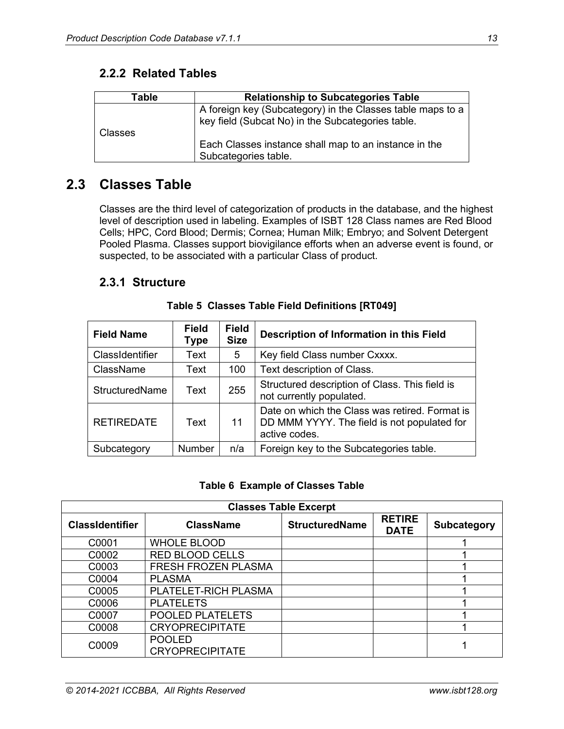| Table          | <b>Relationship to Subcategories Table</b>                                                                      |
|----------------|-----------------------------------------------------------------------------------------------------------------|
|                | A foreign key (Subcategory) in the Classes table maps to a<br>key field (Subcat No) in the Subcategories table. |
| <b>Classes</b> | Each Classes instance shall map to an instance in the<br>Subcategories table.                                   |

#### <span id="page-12-0"></span>**2.2.2 Related Tables**

# <span id="page-12-1"></span>**2.3 Classes Table**

Classes are the third level of categorization of products in the database, and the highest level of description used in labeling. Examples of ISBT 128 Class names are Red Blood Cells; HPC, Cord Blood; Dermis; Cornea; Human Milk; Embryo; and Solvent Detergent Pooled Plasma. Classes support biovigilance efforts when an adverse event is found, or suspected, to be associated with a particular Class of product.

#### <span id="page-12-2"></span>**2.3.1 Structure**

<span id="page-12-3"></span>

| <b>Field Name</b>     | <b>Field</b><br>Type | <b>Field</b><br><b>Size</b> | Description of Information in this Field                                                                       |
|-----------------------|----------------------|-----------------------------|----------------------------------------------------------------------------------------------------------------|
| ClassIdentifier       | Text                 | 5                           | Key field Class number Cxxxx.                                                                                  |
| ClassName             | Text                 | 100                         | Text description of Class.                                                                                     |
| <b>StructuredName</b> | Text                 | 255                         | Structured description of Class. This field is<br>not currently populated.                                     |
| <b>RETIREDATE</b>     | Text                 | 11                          | Date on which the Class was retired. Format is<br>DD MMM YYYY. The field is not populated for<br>active codes. |
| Subcategory           | <b>Number</b>        | n/a                         | Foreign key to the Subcategories table.                                                                        |

#### **Table 5 Classes Table Field Definitions [RT049]**

#### **Table 6 Example of Classes Table**

<span id="page-12-4"></span>

| <b>Classes Table Excerpt</b> |                                         |                       |                              |             |  |  |  |
|------------------------------|-----------------------------------------|-----------------------|------------------------------|-------------|--|--|--|
| <b>ClassIdentifier</b>       | <b>ClassName</b>                        | <b>StructuredName</b> | <b>RETIRE</b><br><b>DATE</b> | Subcategory |  |  |  |
| C0001                        | <b>WHOLE BLOOD</b>                      |                       |                              |             |  |  |  |
| C0002                        | <b>RED BLOOD CELLS</b>                  |                       |                              |             |  |  |  |
| C0003                        | FRESH FROZEN PLASMA                     |                       |                              |             |  |  |  |
| C0004                        | <b>PLASMA</b>                           |                       |                              |             |  |  |  |
| C0005                        | PLATELET-RICH PLASMA                    |                       |                              |             |  |  |  |
| C0006                        | <b>PLATELETS</b>                        |                       |                              |             |  |  |  |
| C0007                        | POOLED PLATELETS                        |                       |                              |             |  |  |  |
| C0008                        | <b>CRYOPRECIPITATE</b>                  |                       |                              |             |  |  |  |
| C0009                        | <b>POOLED</b><br><b>CRYOPRECIPITATE</b> |                       |                              |             |  |  |  |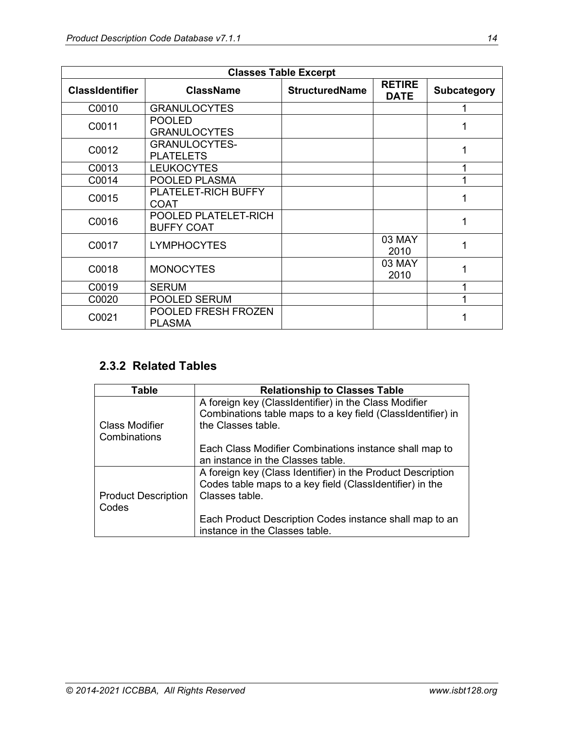| <b>Classes Table Excerpt</b> |                                           |                       |                              |                    |  |  |
|------------------------------|-------------------------------------------|-----------------------|------------------------------|--------------------|--|--|
| <b>ClassIdentifier</b>       | <b>ClassName</b>                          | <b>StructuredName</b> | <b>RETIRE</b><br><b>DATE</b> | <b>Subcategory</b> |  |  |
| C0010                        | <b>GRANULOCYTES</b>                       |                       |                              |                    |  |  |
| C0011                        | <b>POOLED</b><br><b>GRANULOCYTES</b>      |                       |                              |                    |  |  |
| C0012                        | <b>GRANULOCYTES-</b><br><b>PLATELETS</b>  |                       |                              | 1                  |  |  |
| C0013                        | <b>LEUKOCYTES</b>                         |                       |                              | 1                  |  |  |
| C0014                        | POOLED PLASMA                             |                       |                              |                    |  |  |
| C0015                        | PLATELET-RICH BUFFY<br><b>COAT</b>        |                       |                              |                    |  |  |
| C0016                        | POOLED PLATELET-RICH<br><b>BUFFY COAT</b> |                       |                              | 1                  |  |  |
| C0017                        | <b>LYMPHOCYTES</b>                        |                       | 03 MAY<br>2010               | 1                  |  |  |
| C0018                        | <b>MONOCYTES</b>                          |                       | 03 MAY<br>2010               | 1                  |  |  |
| C0019                        | <b>SERUM</b>                              |                       |                              | 1                  |  |  |
| C0020                        | POOLED SERUM                              |                       |                              | 1                  |  |  |
| C0021                        | POOLED FRESH FROZEN<br><b>PLASMA</b>      |                       |                              |                    |  |  |

### <span id="page-13-0"></span>**2.3.2 Related Tables**

| <b>Table</b>                        | <b>Relationship to Classes Table</b>                                                                                                       |
|-------------------------------------|--------------------------------------------------------------------------------------------------------------------------------------------|
| Class Modifier<br>Combinations      | A foreign key (ClassIdentifier) in the Class Modifier<br>Combinations table maps to a key field (ClassIdentifier) in<br>the Classes table. |
|                                     | Each Class Modifier Combinations instance shall map to<br>an instance in the Classes table.                                                |
| <b>Product Description</b><br>Codes | A foreign key (Class Identifier) in the Product Description<br>Codes table maps to a key field (ClassIdentifier) in the<br>Classes table.  |
|                                     | Each Product Description Codes instance shall map to an<br>instance in the Classes table.                                                  |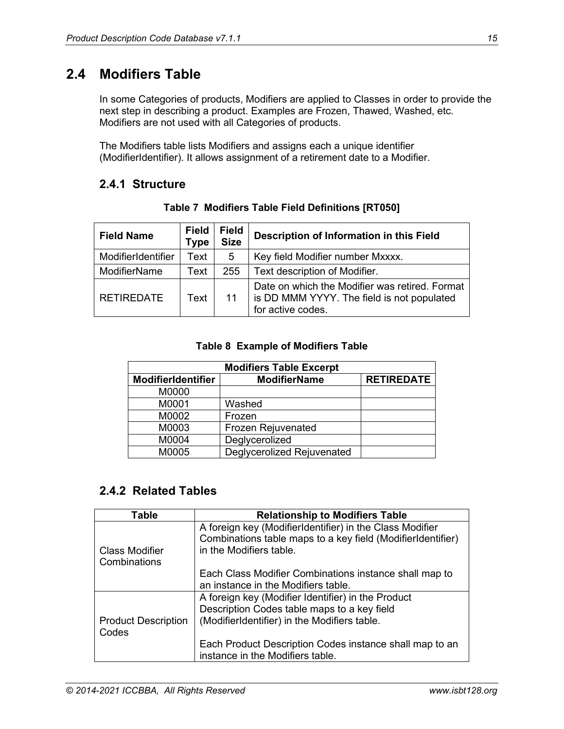# <span id="page-14-0"></span>**2.4 Modifiers Table**

In some Categories of products, Modifiers are applied to Classes in order to provide the next step in describing a product. Examples are Frozen, Thawed, Washed, etc. Modifiers are not used with all Categories of products.

The Modifiers table lists Modifiers and assigns each a unique identifier (ModifierIdentifier). It allows assignment of a retirement date to a Modifier.

#### <span id="page-14-1"></span>**2.4.1 Structure**

<span id="page-14-3"></span>

| <b>Field Name</b>   | <b>Field</b><br><b>Type</b> | <b>Field</b><br><b>Size</b> | Description of Information in this Field                                                                          |  |
|---------------------|-----------------------------|-----------------------------|-------------------------------------------------------------------------------------------------------------------|--|
| ModifierIdentifier  | Text                        | 5                           | Key field Modifier number Mxxxx.                                                                                  |  |
| <b>ModifierName</b> | Text                        | 255                         | Text description of Modifier.                                                                                     |  |
| <b>RETIREDATE</b>   | Text                        | 11                          | Date on which the Modifier was retired. Format<br>is DD MMM YYYY. The field is not populated<br>for active codes. |  |

**Table 7 Modifiers Table Field Definitions [RT050]**

#### **Table 8 Example of Modifiers Table**

<span id="page-14-4"></span>

| <b>Modifiers Table Excerpt</b> |                            |  |  |  |
|--------------------------------|----------------------------|--|--|--|
| <b>ModifierIdentifier</b>      | <b>RETIREDATE</b>          |  |  |  |
| M0000                          |                            |  |  |  |
| M0001                          | Washed                     |  |  |  |
| M0002                          | Frozen                     |  |  |  |
| M0003                          | Frozen Rejuvenated         |  |  |  |
| M0004                          | Deglycerolized             |  |  |  |
| M0005                          | Deglycerolized Rejuvenated |  |  |  |

### <span id="page-14-2"></span>**2.4.2 Related Tables**

| Table                               | <b>Relationship to Modifiers Table</b>                                                                                                             |
|-------------------------------------|----------------------------------------------------------------------------------------------------------------------------------------------------|
| Class Modifier<br>Combinations      | A foreign key (ModifierIdentifier) in the Class Modifier<br>Combinations table maps to a key field (ModifierIdentifier)<br>in the Modifiers table. |
|                                     | Each Class Modifier Combinations instance shall map to<br>an instance in the Modifiers table.                                                      |
| <b>Product Description</b><br>Codes | A foreign key (Modifier Identifier) in the Product<br>Description Codes table maps to a key field<br>(ModifierIdentifier) in the Modifiers table.  |
|                                     | Each Product Description Codes instance shall map to an<br>instance in the Modifiers table.                                                        |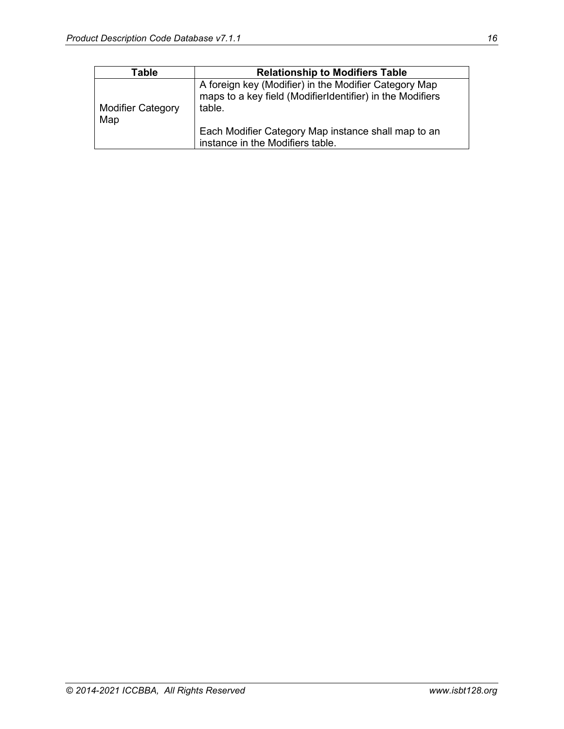| Table                           | <b>Relationship to Modifiers Table</b>                                                                                       |
|---------------------------------|------------------------------------------------------------------------------------------------------------------------------|
| <b>Modifier Category</b><br>Map | A foreign key (Modifier) in the Modifier Category Map<br>maps to a key field (ModifierIdentifier) in the Modifiers<br>table. |
|                                 | Each Modifier Category Map instance shall map to an<br>instance in the Modifiers table.                                      |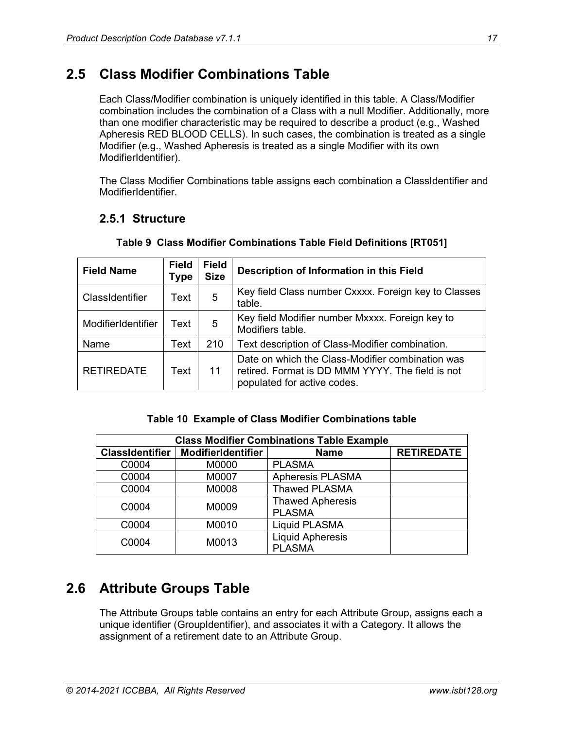# <span id="page-16-0"></span>**2.5 Class Modifier Combinations Table**

Each Class/Modifier combination is uniquely identified in this table. A Class/Modifier combination includes the combination of a Class with a null Modifier. Additionally, more than one modifier characteristic may be required to describe a product (e.g., Washed Apheresis RED BLOOD CELLS). In such cases, the combination is treated as a single Modifier (e.g., Washed Apheresis is treated as a single Modifier with its own ModifierIdentifier).

The Class Modifier Combinations table assigns each combination a ClassIdentifier and ModifierIdentifier.

### <span id="page-16-1"></span>**2.5.1 Structure**

<span id="page-16-3"></span>

| <b>Field Name</b>  | <b>Field</b><br><b>Type</b> | <b>Field</b><br><b>Size</b> | Description of Information in this Field                                                                                            |
|--------------------|-----------------------------|-----------------------------|-------------------------------------------------------------------------------------------------------------------------------------|
| ClassIdentifier    | Text                        | 5                           | Key field Class number Cxxxx. Foreign key to Classes<br>table.                                                                      |
| ModifierIdentifier | Text                        | 5                           | Key field Modifier number Mxxxx. Foreign key to<br>Modifiers table.                                                                 |
| Name               | Text                        | 210                         | Text description of Class-Modifier combination.                                                                                     |
| <b>RETIREDATE</b>  | Text                        | 11                          | Date on which the Class-Modifier combination was<br>retired. Format is DD MMM YYYY. The field is not<br>populated for active codes. |

#### **Table 9 Class Modifier Combinations Table Field Definitions [RT051]**

#### **Table 10 Example of Class Modifier Combinations table**

<span id="page-16-4"></span>

| <b>Class Modifier Combinations Table Example</b> |                           |                                          |                   |  |  |  |  |
|--------------------------------------------------|---------------------------|------------------------------------------|-------------------|--|--|--|--|
| <b>ClassIdentifier</b>                           | <b>ModifierIdentifier</b> | <b>Name</b>                              | <b>RETIREDATE</b> |  |  |  |  |
| C0004                                            | M0000                     | <b>PLASMA</b>                            |                   |  |  |  |  |
| C0004                                            | M0007                     | <b>Apheresis PLASMA</b>                  |                   |  |  |  |  |
| C0004                                            | M0008                     | <b>Thawed PLASMA</b>                     |                   |  |  |  |  |
| C0004                                            | M0009                     | <b>Thawed Apheresis</b><br><b>PLASMA</b> |                   |  |  |  |  |
| C0004                                            | M0010                     | <b>Liquid PLASMA</b>                     |                   |  |  |  |  |
| C0004                                            | M0013                     | <b>Liquid Apheresis</b><br><b>PLASMA</b> |                   |  |  |  |  |

# <span id="page-16-2"></span>**2.6 Attribute Groups Table**

The Attribute Groups table contains an entry for each Attribute Group, assigns each a unique identifier (GroupIdentifier), and associates it with a Category. It allows the assignment of a retirement date to an Attribute Group.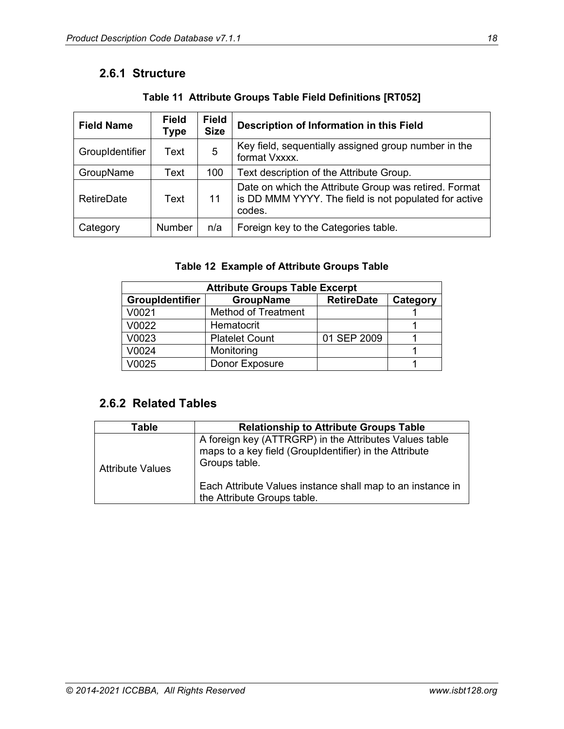### <span id="page-17-0"></span>**2.6.1 Structure**

<span id="page-17-2"></span>

| <b>Field Name</b> | <b>Field</b><br>Type | <b>Field</b><br><b>Size</b> | Description of Information in this Field                                                                                 |  |
|-------------------|----------------------|-----------------------------|--------------------------------------------------------------------------------------------------------------------------|--|
| GroupIdentifier   | Text                 | 5                           | Key field, sequentially assigned group number in the<br>format Vxxxx.                                                    |  |
| GroupName         | Text                 | 100                         | Text description of the Attribute Group.                                                                                 |  |
| <b>RetireDate</b> | Text                 | 11                          | Date on which the Attribute Group was retired. Format<br>is DD MMM YYYY. The field is not populated for active<br>codes. |  |
| Category          | <b>Number</b>        | n/a                         | Foreign key to the Categories table.                                                                                     |  |

**Table 11 Attribute Groups Table Field Definitions [RT052]**

#### **Table 12 Example of Attribute Groups Table**

<span id="page-17-3"></span>

| <b>Attribute Groups Table Excerpt</b> |                            |             |  |  |  |  |
|---------------------------------------|----------------------------|-------------|--|--|--|--|
| <b>GroupIdentifier</b>                | Category                   |             |  |  |  |  |
| V0021                                 | <b>Method of Treatment</b> |             |  |  |  |  |
| V0022                                 | Hematocrit                 |             |  |  |  |  |
| V0023                                 | <b>Platelet Count</b>      | 01 SEP 2009 |  |  |  |  |
| V0024                                 | Monitoring                 |             |  |  |  |  |
| V0025                                 | Donor Exposure             |             |  |  |  |  |

### <span id="page-17-1"></span>**2.6.2 Related Tables**

| Table                   | <b>Relationship to Attribute Groups Table</b>                                                                                     |
|-------------------------|-----------------------------------------------------------------------------------------------------------------------------------|
| <b>Attribute Values</b> | A foreign key (ATTRGRP) in the Attributes Values table<br>maps to a key field (GroupIdentifier) in the Attribute<br>Groups table. |
|                         | Each Attribute Values instance shall map to an instance in<br>the Attribute Groups table.                                         |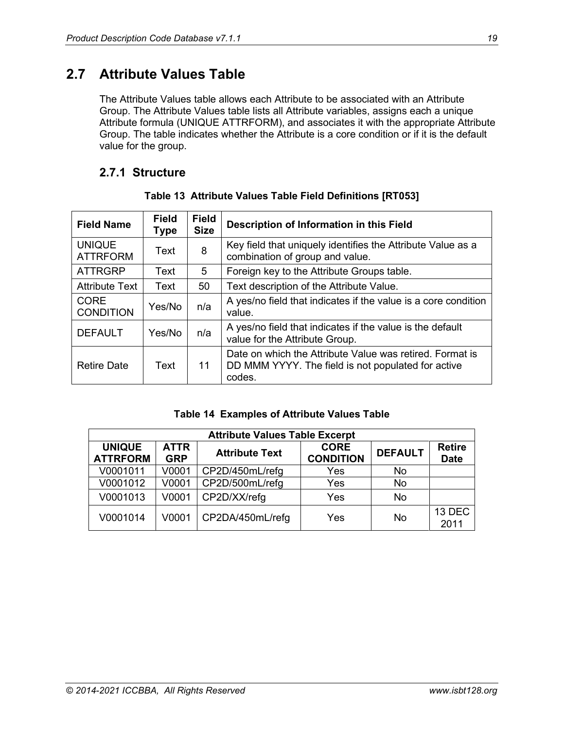# <span id="page-18-0"></span>**2.7 Attribute Values Table**

The Attribute Values table allows each Attribute to be associated with an Attribute Group. The Attribute Values table lists all Attribute variables, assigns each a unique Attribute formula (UNIQUE ATTRFORM), and associates it with the appropriate Attribute Group. The table indicates whether the Attribute is a core condition or if it is the default value for the group.

#### <span id="page-18-1"></span>**2.7.1 Structure**

<span id="page-18-2"></span>

| <b>Field Name</b>                | <b>Field</b><br>Type | <b>Field</b><br><b>Size</b> | Description of Information in this Field                                                                                 |
|----------------------------------|----------------------|-----------------------------|--------------------------------------------------------------------------------------------------------------------------|
| <b>UNIQUE</b><br><b>ATTRFORM</b> | Text                 | 8                           | Key field that uniquely identifies the Attribute Value as a<br>combination of group and value.                           |
| <b>ATTRGRP</b>                   | Text                 | 5                           | Foreign key to the Attribute Groups table.                                                                               |
| <b>Attribute Text</b>            | Text                 | 50                          | Text description of the Attribute Value.                                                                                 |
| <b>CORE</b><br><b>CONDITION</b>  | Yes/No               | n/a                         | A yes/no field that indicates if the value is a core condition<br>value.                                                 |
| <b>DEFAULT</b>                   | Yes/No               | n/a                         | A yes/no field that indicates if the value is the default<br>value for the Attribute Group.                              |
| <b>Retire Date</b>               | Text                 | 11                          | Date on which the Attribute Value was retired. Format is<br>DD MMM YYYY. The field is not populated for active<br>codes. |

#### **Table 13 Attribute Values Table Field Definitions [RT053]**

#### **Table 14 Examples of Attribute Values Table**

<span id="page-18-3"></span>

| <b>Attribute Values Table Excerpt</b> |                           |                       |                                 |                |                              |  |
|---------------------------------------|---------------------------|-----------------------|---------------------------------|----------------|------------------------------|--|
| <b>UNIQUE</b><br><b>ATTRFORM</b>      | <b>ATTR</b><br><b>GRP</b> | <b>Attribute Text</b> | <b>CORE</b><br><b>CONDITION</b> | <b>DEFAULT</b> | <b>Retire</b><br><b>Date</b> |  |
| V0001011                              | V0001                     | CP2D/450mL/refg       | Yes                             | No             |                              |  |
| V0001012                              | V0001                     | CP2D/500mL/refg       | Yes                             | <b>No</b>      |                              |  |
| V0001013                              | V0001                     | CP2D/XX/refg          | Yes                             | No             |                              |  |
| V0001014                              | V0001                     | CP2DA/450mL/refg      | Yes                             | No             | 13 DEC<br>2011               |  |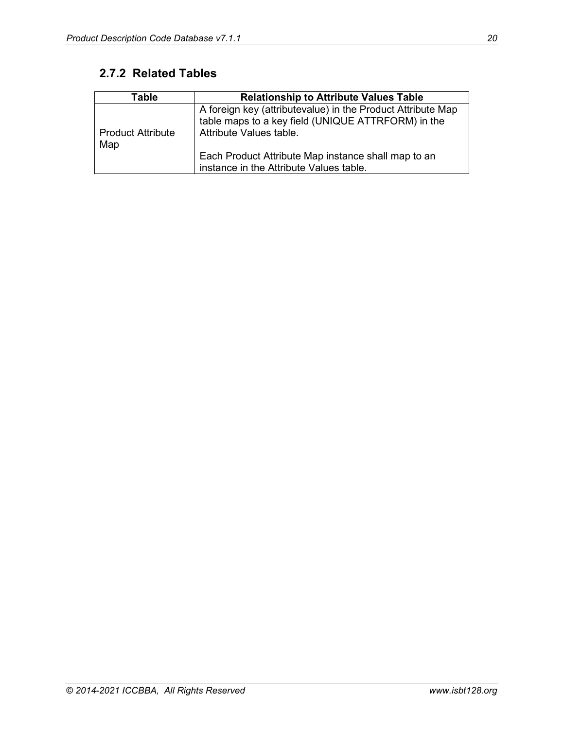# <span id="page-19-0"></span>**2.7.2 Related Tables**

| Table                           | <b>Relationship to Attribute Values Table</b>                                                                                                |
|---------------------------------|----------------------------------------------------------------------------------------------------------------------------------------------|
| <b>Product Attribute</b><br>Map | A foreign key (attributevalue) in the Product Attribute Map<br>table maps to a key field (UNIQUE ATTRFORM) in the<br>Attribute Values table. |
|                                 | Each Product Attribute Map instance shall map to an<br>instance in the Attribute Values table.                                               |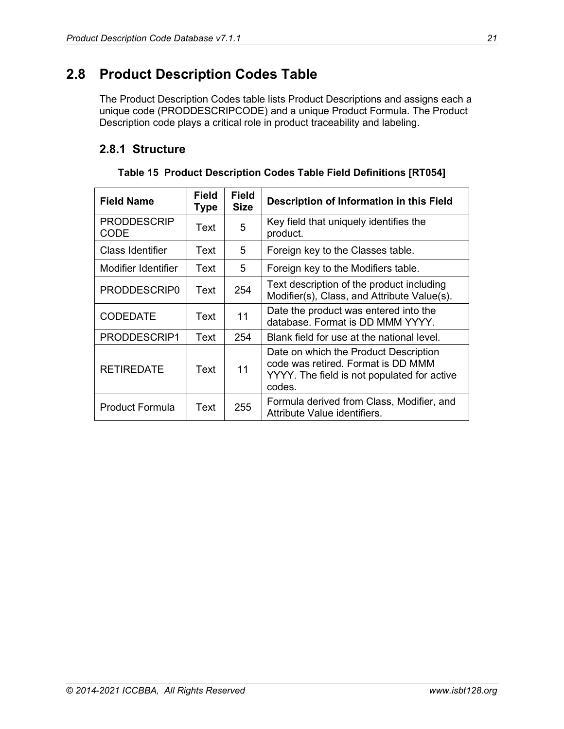# <span id="page-20-0"></span>**2.8 Product Description Codes Table**

The Product Description Codes table lists Product Descriptions and assigns each a unique code (PRODDESCRIPCODE) and a unique Product Formula. The Product Description code plays a critical role in product traceability and labeling.

### <span id="page-20-1"></span>**2.8.1 Structure**

<span id="page-20-2"></span>

| <b>Field Name</b>                 | <b>Field</b><br>Type | <b>Field</b><br>Size | Description of Information in this Field                                                                                             |
|-----------------------------------|----------------------|----------------------|--------------------------------------------------------------------------------------------------------------------------------------|
| <b>PRODDESCRIP</b><br><b>CODE</b> | Text                 | 5                    | Key field that uniquely identifies the<br>product.                                                                                   |
| <b>Class Identifier</b>           | Text                 | 5                    | Foreign key to the Classes table.                                                                                                    |
| Modifier Identifier               | Text                 | 5                    | Foreign key to the Modifiers table.                                                                                                  |
| PRODDESCRIP0                      | Text                 | 254                  | Text description of the product including<br>Modifier(s), Class, and Attribute Value(s).                                             |
| <b>CODEDATE</b>                   | Text                 | 11                   | Date the product was entered into the<br>database. Format is DD MMM YYYY.                                                            |
| PRODDESCRIP1                      | Text                 | 254                  | Blank field for use at the national level.                                                                                           |
| <b>RETIREDATE</b>                 | Text                 | 11                   | Date on which the Product Description<br>code was retired. Format is DD MMM<br>YYYY. The field is not populated for active<br>codes. |
| <b>Product Formula</b>            | Text                 | 255                  | Formula derived from Class, Modifier, and<br>Attribute Value identifiers.                                                            |

**Table 15 Product Description Codes Table Field Definitions [RT054]**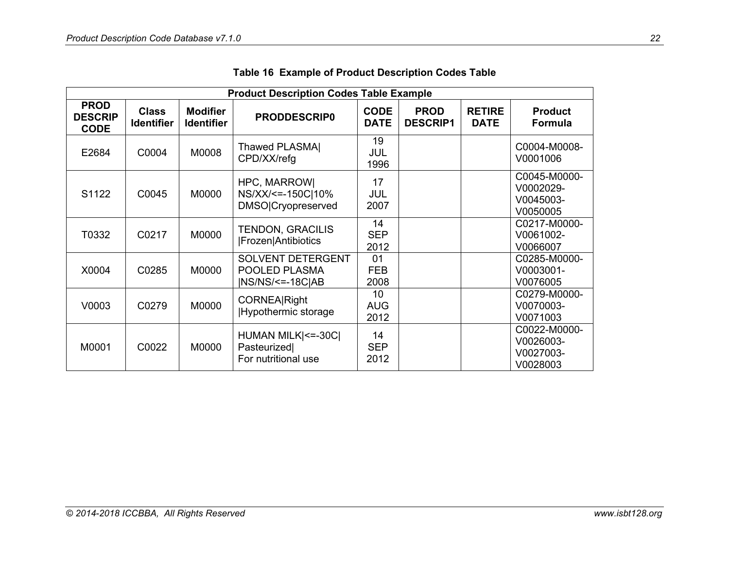<span id="page-21-0"></span>

| <b>Product Description Codes Table Example</b> |                                   |                                      |                                                             |                            |                                |                              |                                                    |
|------------------------------------------------|-----------------------------------|--------------------------------------|-------------------------------------------------------------|----------------------------|--------------------------------|------------------------------|----------------------------------------------------|
| <b>PROD</b><br><b>DESCRIP</b><br><b>CODE</b>   | <b>Class</b><br><b>Identifier</b> | <b>Modifier</b><br><b>Identifier</b> | <b>PRODDESCRIP0</b>                                         | <b>CODE</b><br><b>DATE</b> | <b>PROD</b><br><b>DESCRIP1</b> | <b>RETIRE</b><br><b>DATE</b> | <b>Product</b><br><b>Formula</b>                   |
| E2684                                          | C0004                             | M0008                                | Thawed PLASMAI<br>CPD/XX/refg                               | 19<br>JUL<br>1996          |                                |                              | C0004-M0008-<br>V0001006                           |
| S1122                                          | C0045                             | M0000                                | HPC, MARROW <br>NS/XX/<=-150C 10%<br>DMSO Cryopreserved     | 17<br>JUL<br>2007          |                                |                              | C0045-M0000-<br>V0002029-<br>V0045003-<br>V0050005 |
| T0332                                          | C0217                             | M0000                                | <b>TENDON, GRACILIS</b><br><b> Frozen Antibiotics</b>       | 14<br><b>SEP</b><br>2012   |                                |                              | C0217-M0000-<br>V0061002-<br>V0066007              |
| X0004                                          | C0285                             | M0000                                | SOLVENT DETERGENT<br>POOLED PLASMA<br>$ NS/NS/\leq -18C/AB$ | 01<br><b>FEB</b><br>2008   |                                |                              | C0285-M0000-<br>V0003001-<br>V0076005              |
| V0003                                          | C0279                             | M0000                                | <b>CORNEA</b> Right<br>Hypothermic storage                  | 10<br><b>AUG</b><br>2012   |                                |                              | C0279-M0000-<br>V0070003-<br>V0071003              |
| M0001                                          | C0022                             | M0000                                | HUMAN MILK  <= - 30C <br>Pasteurized<br>For nutritional use | 14<br><b>SEP</b><br>2012   |                                |                              | C0022-M0000-<br>V0026003-<br>V0027003-<br>V0028003 |

|  |  |  |  | Table 16 Example of Product Description Codes Table |
|--|--|--|--|-----------------------------------------------------|
|--|--|--|--|-----------------------------------------------------|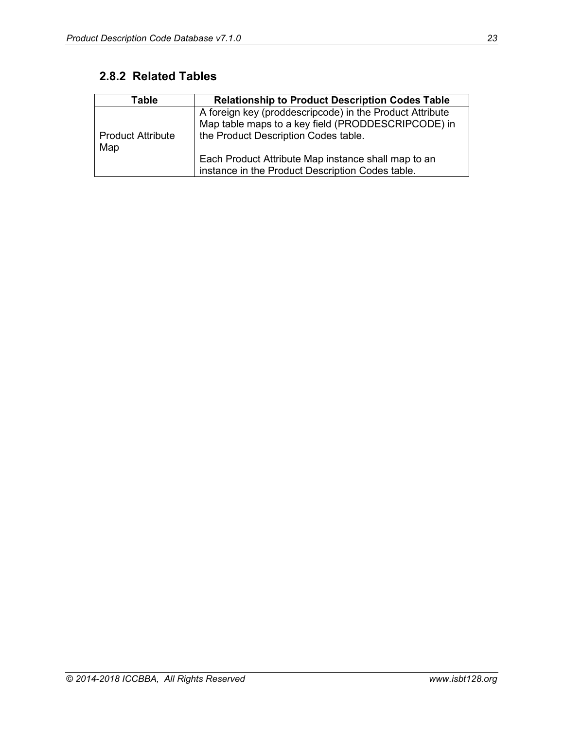# <span id="page-22-0"></span>**2.8.2 Related Tables**

| Table                           | <b>Relationship to Product Description Codes Table</b>                                                                                                 |
|---------------------------------|--------------------------------------------------------------------------------------------------------------------------------------------------------|
| <b>Product Attribute</b><br>Map | A foreign key (proddescripcode) in the Product Attribute<br>Map table maps to a key field (PRODDESCRIPCODE) in<br>the Product Description Codes table. |
|                                 | Each Product Attribute Map instance shall map to an<br>instance in the Product Description Codes table.                                                |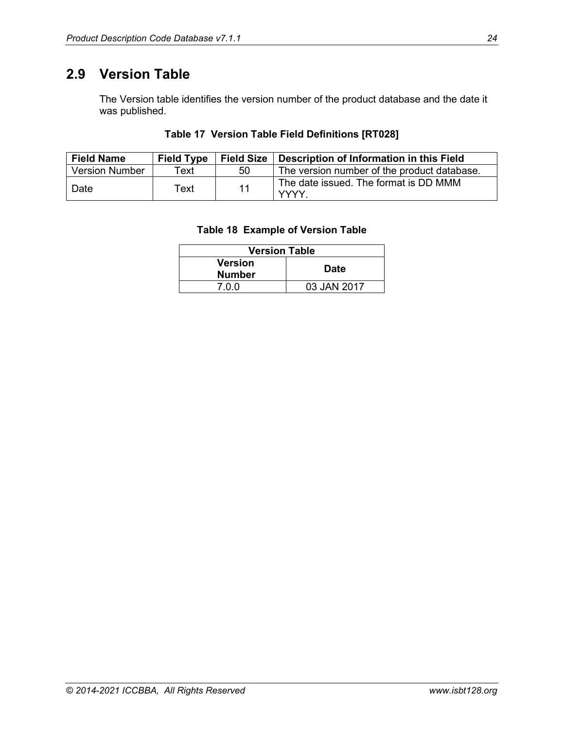# <span id="page-23-0"></span>**2.9 Version Table**

The Version table identifies the version number of the product database and the date it was published.

#### **Table 17 Version Table Field Definitions [RT028]**

<span id="page-23-2"></span><span id="page-23-1"></span>

| <b>Field Name</b>     | <b>Field Type</b> | <b>Field Size</b> | Description of Information in this Field             |
|-----------------------|-------------------|-------------------|------------------------------------------------------|
| <b>Version Number</b> | Text              | 50                | The version number of the product database.          |
| Date                  | Text              | 11                | The date issued. The format is DD MMM<br><b>YYYY</b> |

#### **Table 18 Example of Version Table**

| <b>Version Table</b> |             |  |  |
|----------------------|-------------|--|--|
| <b>Version</b>       | <b>Date</b> |  |  |
| <b>Number</b>        |             |  |  |
| 7 N N                | 03 JAN 2017 |  |  |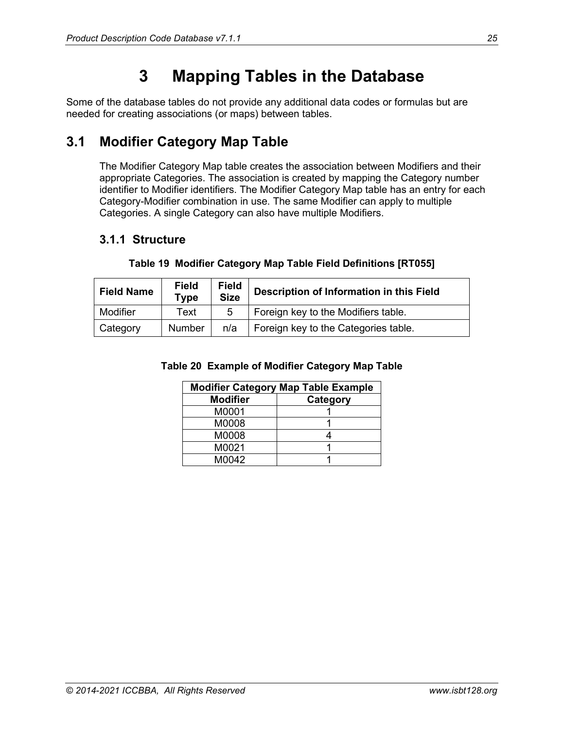# **3 Mapping Tables in the Database**

<span id="page-24-0"></span>Some of the database tables do not provide any additional data codes or formulas but are needed for creating associations (or maps) between tables.

# <span id="page-24-1"></span>**3.1 Modifier Category Map Table**

The Modifier Category Map table creates the association between Modifiers and their appropriate Categories. The association is created by mapping the Category number identifier to Modifier identifiers. The Modifier Category Map table has an entry for each Category-Modifier combination in use. The same Modifier can apply to multiple Categories. A single Category can also have multiple Modifiers.

#### <span id="page-24-2"></span>**3.1.1 Structure**

<span id="page-24-4"></span><span id="page-24-3"></span>

| <b>Field Name</b> | <b>Field</b><br><b>Type</b> | <b>Field</b><br><b>Size</b> | Description of Information in this Field |
|-------------------|-----------------------------|-----------------------------|------------------------------------------|
| Modifier          | Text                        | 5                           | Foreign key to the Modifiers table.      |
| Category          | <b>Number</b>               | n/a                         | Foreign key to the Categories table.     |

#### **Table 19 Modifier Category Map Table Field Definitions [RT055]**

#### **Table 20 Example of Modifier Category Map Table**

|                 | <b>Modifier Category Map Table Example</b> |
|-----------------|--------------------------------------------|
| <b>Modifier</b> | Category                                   |
| M0001           |                                            |
| M0008           |                                            |
| M0008           |                                            |
| M0021           |                                            |
| M0042           |                                            |